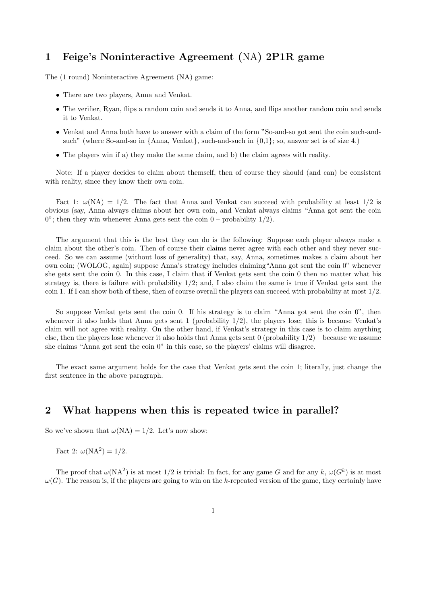## 1 Feige's Noninteractive Agreement (NA) 2P1R game

The (1 round) Noninteractive Agreement (NA) game:

- There are two players, Anna and Venkat.
- The verifier, Ryan, flips a random coin and sends it to Anna, and flips another random coin and sends it to Venkat.
- Venkat and Anna both have to answer with a claim of the form "So-and-so got sent the coin such-andsuch" (where So-and-so in  $\{\text{Anna}, \text{Venkat}\}\$ , such-and-such in  $\{0,1\}$ ; so, answer set is of size 4.)
- The players win if a) they make the same claim, and b) the claim agrees with reality.

Note: If a player decides to claim about themself, then of course they should (and can) be consistent with reality, since they know their own coin.

Fact 1:  $\omega(NA) = 1/2$ . The fact that Anna and Venkat can succeed with probability at least  $1/2$  is obvious (say, Anna always claims about her own coin, and Venkat always claims "Anna got sent the coin 0"; then they win whenever Anna gets sent the coin  $0$  – probability  $1/2$ ).

The argument that this is the best they can do is the following: Suppose each player always make a claim about the other's coin. Then of course their claims never agree with each other and they never succeed. So we can assume (without loss of generality) that, say, Anna, sometimes makes a claim about her own coin; (WOLOG, again) suppose Anna's strategy includes claiming"Anna got sent the coin 0" whenever she gets sent the coin 0. In this case, I claim that if Venkat gets sent the coin 0 then no matter what his strategy is, there is failure with probability  $1/2$ ; and, I also claim the same is true if Venkat gets sent the coin 1. If I can show both of these, then of course overall the players can succeed with probability at most 1/2.

So suppose Venkat gets sent the coin 0. If his strategy is to claim "Anna got sent the coin 0", then whenever it also holds that Anna gets sent 1 (probability  $1/2$ ), the players lose; this is because Venkat's claim will not agree with reality. On the other hand, if Venkat's strategy in this case is to claim anything else, then the players lose whenever it also holds that Anna gets sent 0 (probability 1/2) – because we assume she claims "Anna got sent the coin 0" in this case, so the players' claims will disagree.

The exact same argument holds for the case that Venkat gets sent the coin 1; literally, just change the first sentence in the above paragraph.

## 2 What happens when this is repeated twice in parallel?

So we've shown that  $\omega(NA) = 1/2$ . Let's now show:

Fact 2:  $\omega(NA^2) = 1/2$ .

The proof that  $\omega(NA^2)$  is at most 1/2 is trivial: In fact, for any game G and for any k,  $\omega(G^k)$  is at most  $\omega(G)$ . The reason is, if the players are going to win on the k-repeated version of the game, they certainly have